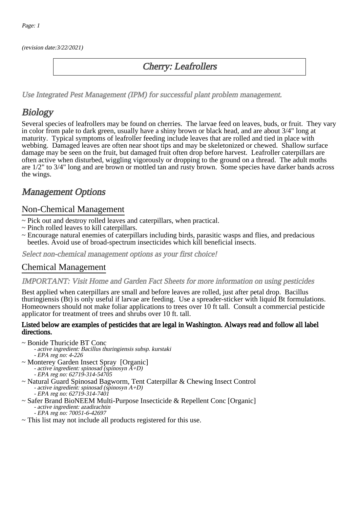(revision date:3/22/2021)

### Cherry: Leafrollers

[Use Integrated Pest Management \(IPM\) for successful plant problem management.](http://pep.wsu.edu/Home_Garden/H_G_Pesticide_info/urban_Integrated_Pest_Managmen/)

# **Biology**

Several species of leafrollers may be found on cherries. The larvae feed on leaves, buds, or fruit. They vary in color from pale to dark green, usually have a shiny brown or black head, and are about 3/4" long at maturity. Typical symptoms of leafroller feeding include leaves that are rolled and tied in place with webbing. Damaged leaves are often near shoot tips and may be skeletonized or chewed. Shallow surface damage may be seen on the fruit, but damaged fruit often drop before harvest. Leafroller caterpillars are often active when disturbed, wiggling vigorously or dropping to the ground on a thread. The adult moths are 1/2" to 3/4" long and are brown or mottled tan and rusty brown. Some species have darker bands across the wings.

## Management Options

#### Non-Chemical Management

- ~ Pick out and destroy rolled leaves and caterpillars, when practical.
- ~ Pinch rolled leaves to kill caterpillars.
- ~ Encourage natural enemies of caterpillars including birds, parasitic wasps and flies, and predacious beetles. Avoid use of broad-spectrum insecticides which kill beneficial insects.

Select non-chemical management options as your first choice!

### Chemical Management

#### IMPORTANT: [Visit Home and Garden Fact Sheets for more information on using pesticides](http://pep.wsu.edu/Home_Garden/H_G_Pesticide_info/)

Best applied when caterpillars are small and before leaves are rolled, just after petal drop. Bacillus thuringiensis (Bt) is only useful if larvae are feeding. Use a spreader-sticker with liquid Bt formulations. Homeowners should not make foliar applications to trees over 10 ft tall. Consult a commercial pesticide applicator for treatment of trees and shrubs over 10 ft. tall.

#### Listed below are examples of pesticides that are legal in Washington. Always read and follow all label directions.

~ Bonide Thuricide BT Conc

- active ingredient: Bacillus thuringiensis subsp. kurstaki
- EPA reg no: 4-226
- ~ Monterey Garden Insect Spray [Organic] - active ingredient: spinosad (spinosyn A+D)
	- EPA reg no: 62719-314-54705
- ~ Natural Guard Spinosad Bagworm, Tent Caterpillar & Chewing Insect Control - active ingredient: spinosad (spinosyn A+D) - EPA reg no: 62719-314-7401
- ~ Safer Brand BioNEEM Multi-Purpose Insecticide & Repellent Conc [Organic] - active ingredient: azadirachtin - EPA reg no: 70051-6-42697
- ~ This list may not include all products registered for this use.